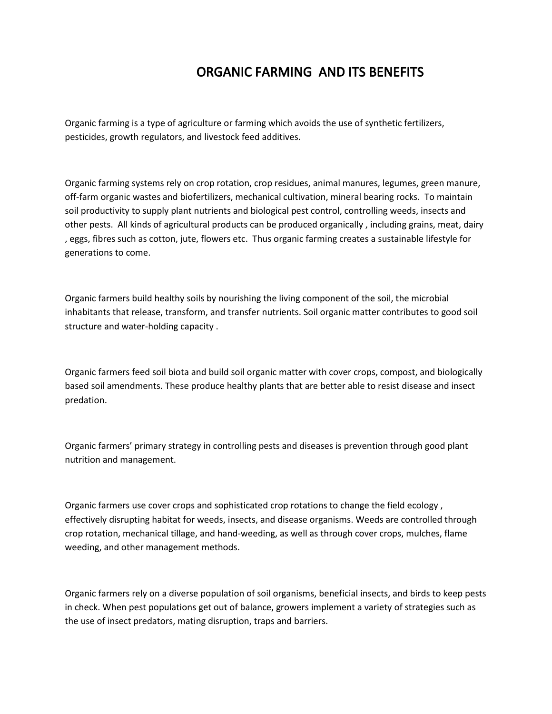## ORGANIC FARMING AND ITS BENEFITS

Organic farming is a type of agriculture or farming which avoids the use of synthetic fertilizers, pesticides, growth regulators, and livestock feed additives.

Organic farming systems rely on crop rotation, crop residues, animal manures, legumes, green manure, off-farm organic wastes and biofertilizers, mechanical cultivation, mineral bearing rocks. To maintain soil productivity to supply plant nutrients and biological pest control, controlling weeds, insects and other pests. All kinds of agricultural products can be produced organically , including grains, meat, dairy , eggs, fibres such as cotton, jute, flowers etc. Thus organic farming creates a sustainable lifestyle for generations to come.

Organic farmers build healthy soils by nourishing the living component of the soil, the microbial inhabitants that release, transform, and transfer nutrients. Soil organic matter contributes to good soil structure and water-holding capacity .

Organic farmers feed soil biota and build soil organic matter with cover crops, compost, and biologically based soil amendments. These produce healthy plants that are better able to resist disease and insect predation.

Organic farmers' primary strategy in controlling pests and diseases is prevention through good plant nutrition and management.

Organic farmers use cover crops and sophisticated crop rotations to change the field ecology , effectively disrupting habitat for weeds, insects, and disease organisms. Weeds are controlled through crop rotation, mechanical tillage, and hand-weeding, as well as through cover crops, mulches, flame weeding, and other management methods.

Organic farmers rely on a diverse population of soil organisms, beneficial insects, and birds to keep pests in check. When pest populations get out of balance, growers implement a variety of strategies such as the use of insect predators, mating disruption, traps and barriers.